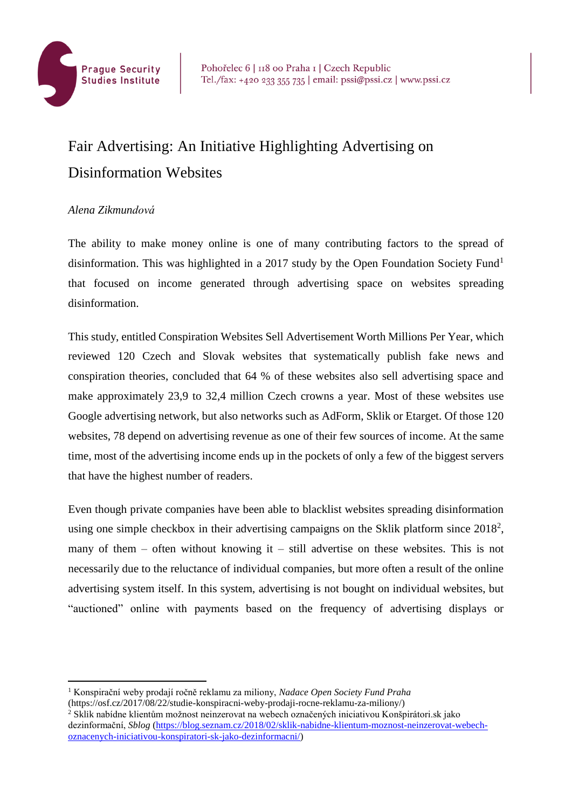

## Fair Advertising: An Initiative Highlighting Advertising on Disinformation Websites

## *Alena Zikmundová*

The ability to make money online is one of many contributing factors to the spread of disinformation. This was highlighted in a 2017 study by the Open Foundation Society Fund<sup>1</sup> that focused on income generated through advertising space on websites spreading disinformation.

This study, entitled Conspiration Websites Sell Advertisement Worth Millions Per Year, which reviewed 120 Czech and Slovak websites that systematically publish fake news and conspiration theories, concluded that 64 % of these websites also sell advertising space and make approximately 23,9 to 32,4 million Czech crowns a year. Most of these websites use Google advertising network, but also networks such as AdForm, Sklik or Etarget. Of those 120 websites, 78 depend on advertising revenue as one of their few sources of income. At the same time, most of the advertising income ends up in the pockets of only a few of the biggest servers that have the highest number of readers.

Even though private companies have been able to blacklist websites spreading disinformation using one simple checkbox in their advertising campaigns on the Sklik platform since  $2018^2$ , many of them – often without knowing it – still advertise on these websites. This is not necessarily due to the reluctance of individual companies, but more often a result of the online advertising system itself. In this system, advertising is not bought on individual websites, but "auctioned" online with payments based on the frequency of advertising displays or

(https://osf.cz/2017/08/22/studie-konspiracni-weby-prodaji-rocne-reklamu-za-miliony/)

<sup>2</sup> Sklik nabídne klientům možnost neinzerovat na webech označených iniciativou Konšpirátori.sk jako dezinformační, *Sblog* [\(https://blog.seznam.cz/2018/02/sklik-nabidne-klientum-moznost-neinzerovat-webech](https://blog.seznam.cz/2018/02/sklik-nabidne-klientum-moznost-neinzerovat-webech-oznacenych-iniciativou-konspiratori-sk-jako-dezinformacni/)[oznacenych-iniciativou-konspiratori-sk-jako-dezinformacni/\)](https://blog.seznam.cz/2018/02/sklik-nabidne-klientum-moznost-neinzerovat-webech-oznacenych-iniciativou-konspiratori-sk-jako-dezinformacni/)

<sup>1</sup> Konspirační weby prodají ročně reklamu za miliony, *Nadace Open Society Fund Praha*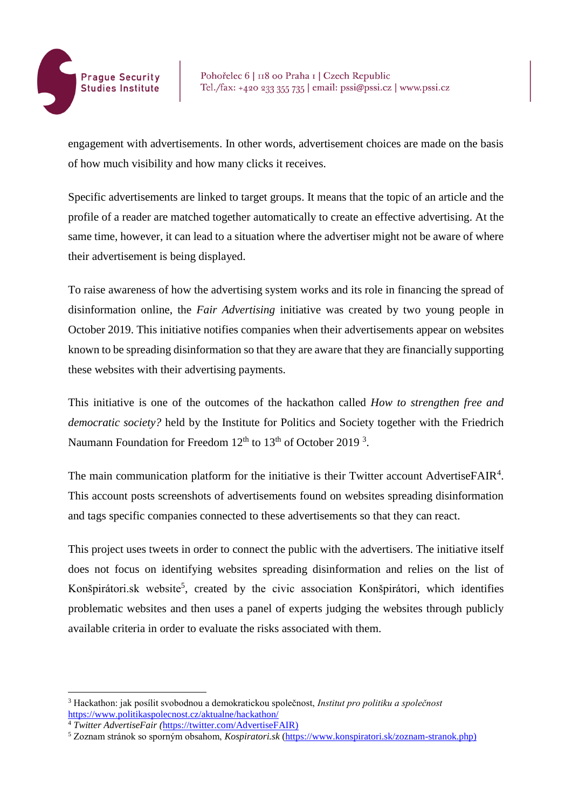

engagement with advertisements. In other words, advertisement choices are made on the basis of how much visibility and how many clicks it receives.

Specific advertisements are linked to target groups. It means that the topic of an article and the profile of a reader are matched together automatically to create an effective advertising. At the same time, however, it can lead to a situation where the advertiser might not be aware of where their advertisement is being displayed.

To raise awareness of how the advertising system works and its role in financing the spread of disinformation online, the *Fair Advertising* initiative was created by two young people in October 2019. This initiative notifies companies when their advertisements appear on websites known to be spreading disinformation so that they are aware that they are financially supporting these websites with their advertising payments.

This initiative is one of the outcomes of the hackathon called *How to strengthen free and democratic society?* held by the Institute for Politics and Society together with the Friedrich Naumann Foundation for Freedom  $12<sup>th</sup>$  to  $13<sup>th</sup>$  of October 2019<sup>3</sup>.

The main communication platform for the initiative is their Twitter account AdvertiseFAIR<sup>4</sup>. This account posts screenshots of advertisements found on websites spreading disinformation and tags specific companies connected to these advertisements so that they can react.

This project uses tweets in order to connect the public with the advertisers. The initiative itself does not focus on identifying websites spreading disinformation and relies on the list of Konšpirátori.sk website<sup>5</sup>, created by the civic association Konšpirátori, which identifies problematic websites and then uses a panel of experts judging the websites through publicly available criteria in order to evaluate the risks associated with them.

<sup>3</sup> Hackathon: jak posílit svobodnou a demokratickou společnost, *Institut pro politiku a společnost* <https://www.politikaspolecnost.cz/aktualne/hackathon/>

<sup>4</sup> *Twitter AdvertiseFair (*[https://twitter.com/AdvertiseFAIR\)](https://twitter.com/AdvertiseFAIR)

<sup>5</sup> Zoznam stránok so sporným obsahom, *Kospiratori.sk* [\(https://www.konspiratori.sk/zoznam-stranok.php\)](https://www.konspiratori.sk/zoznam-stranok.php)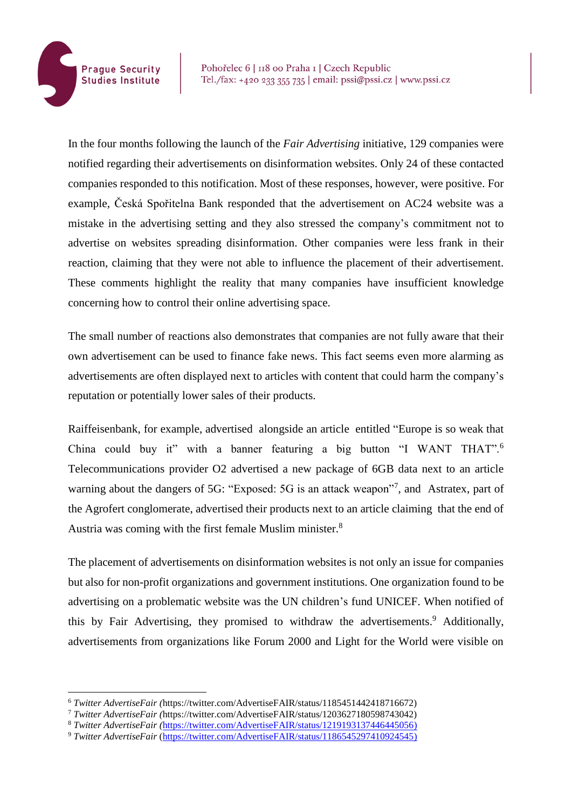

Pohořelec 6 | 118 00 Praha 1 | Czech Republic Tel./fax: +420 233 355 735 | email: pssi@pssi.cz | www.pssi.cz

In the four months following the launch of the *Fair Advertising* initiative, 129 companies were notified regarding their advertisements on disinformation websites. Only 24 of these contacted companies responded to this notification. Most of these responses, however, were positive. For example, Česká Spořitelna Bank responded that the advertisement on AC24 website was a mistake in the advertising setting and they also stressed the company's commitment not to advertise on websites spreading disinformation. Other companies were less frank in their reaction, claiming that they were not able to influence the placement of their advertisement. These comments highlight the reality that many companies have insufficient knowledge concerning how to control their online advertising space.

The small number of reactions also demonstrates that companies are not fully aware that their own advertisement can be used to finance fake news. This fact seems even more alarming as advertisements are often displayed next to articles with content that could harm the company's reputation or potentially lower sales of their products.

Raiffeisenbank, for example, advertised alongside an article entitled "Europe is so weak that China could buy it" with a banner featuring a big button "I WANT THAT".<sup>6</sup> Telecommunications provider O2 advertised a new package of 6GB data next to an article warning about the dangers of 5G: "Exposed: 5G is an attack weapon"<sup>7</sup>, and Astratex, part of the Agrofert conglomerate, advertised their products next to an article claiming that the end of Austria was coming with the first female Muslim minister.<sup>8</sup>

The placement of advertisements on disinformation websites is not only an issue for companies but also for non-profit organizations and government institutions. One organization found to be advertising on a problematic website was the UN children's fund UNICEF. When notified of this by Fair Advertising, they promised to withdraw the advertisements. <sup>9</sup> Additionally, advertisements from organizations like Forum 2000 and Light for the World were visible on

<sup>6</sup> *Twitter AdvertiseFair (*https://twitter.com/AdvertiseFAIR/status/1185451442418716672)

<sup>7</sup> *Twitter AdvertiseFair (*https://twitter.com/AdvertiseFAIR/status/1203627180598743042)

<sup>8</sup> *Twitter AdvertiseFair (*[https://twitter.com/AdvertiseFAIR/status/1219193137446445056\)](https://twitter.com/AdvertiseFAIR/status/1219193137446445056)

<sup>9</sup> *Twitter AdvertiseFair* [\(https://twitter.com/AdvertiseFAIR/status/1186545297410924545\)](https://twitter.com/AdvertiseFAIR/status/1186545297410924545)